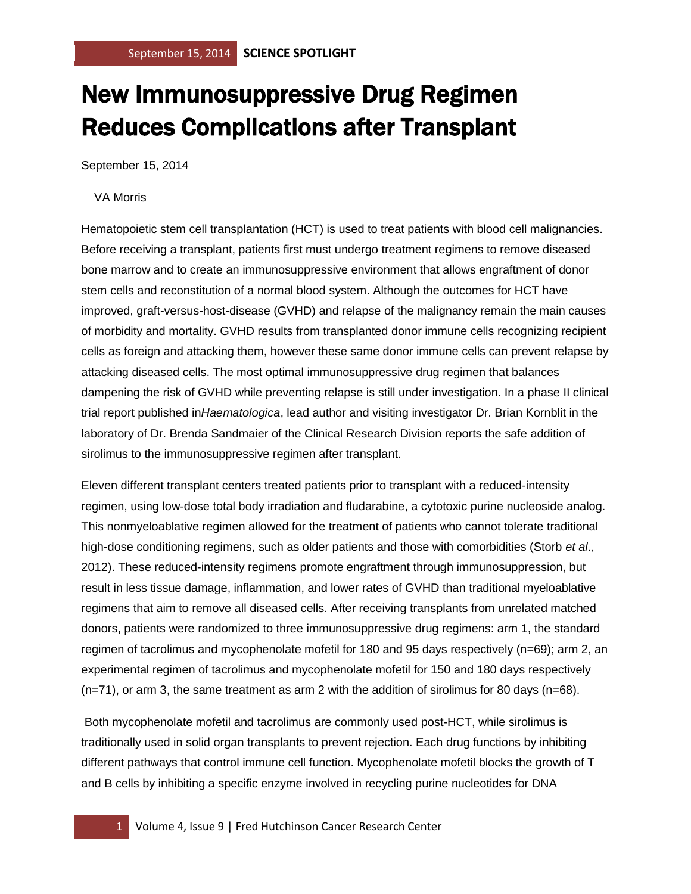## New Immunosuppressive Drug Regimen Reduces Complications after Transplant

September 15, 2014

## VA Morris

Hematopoietic stem cell transplantation (HCT) is used to treat patients with blood cell malignancies. Before receiving a transplant, patients first must undergo treatment regimens to remove diseased bone marrow and to create an immunosuppressive environment that allows engraftment of donor stem cells and reconstitution of a normal blood system. Although the outcomes for HCT have improved, graft-versus-host-disease (GVHD) and relapse of the malignancy remain the main causes of morbidity and mortality. GVHD results from transplanted donor immune cells recognizing recipient cells as foreign and attacking them, however these same donor immune cells can prevent relapse by attacking diseased cells. The most optimal immunosuppressive drug regimen that balances dampening the risk of GVHD while preventing relapse is still under investigation. In a phase II clinical trial report published in*Haematologica*, lead author and visiting investigator Dr. Brian Kornblit in the laboratory of Dr. Brenda Sandmaier of the Clinical Research Division reports the safe addition of sirolimus to the immunosuppressive regimen after transplant.

Eleven different transplant centers treated patients prior to transplant with a reduced-intensity regimen, using low-dose total body irradiation and fludarabine, a cytotoxic purine nucleoside analog. This nonmyeloablative regimen allowed for the treatment of patients who cannot tolerate traditional high-dose conditioning regimens, such as older patients and those with comorbidities (Storb *et al*., 2012). These reduced-intensity regimens promote engraftment through immunosuppression, but result in less tissue damage, inflammation, and lower rates of GVHD than traditional myeloablative regimens that aim to remove all diseased cells. After receiving transplants from unrelated matched donors, patients were randomized to three immunosuppressive drug regimens: arm 1, the standard regimen of tacrolimus and mycophenolate mofetil for 180 and 95 days respectively (n=69); arm 2, an experimental regimen of tacrolimus and mycophenolate mofetil for 150 and 180 days respectively (n=71), or arm 3, the same treatment as arm 2 with the addition of sirolimus for 80 days (n=68).

Both mycophenolate mofetil and tacrolimus are commonly used post-HCT, while sirolimus is traditionally used in solid organ transplants to prevent rejection. Each drug functions by inhibiting different pathways that control immune cell function. Mycophenolate mofetil blocks the growth of T and B cells by inhibiting a specific enzyme involved in recycling purine nucleotides for DNA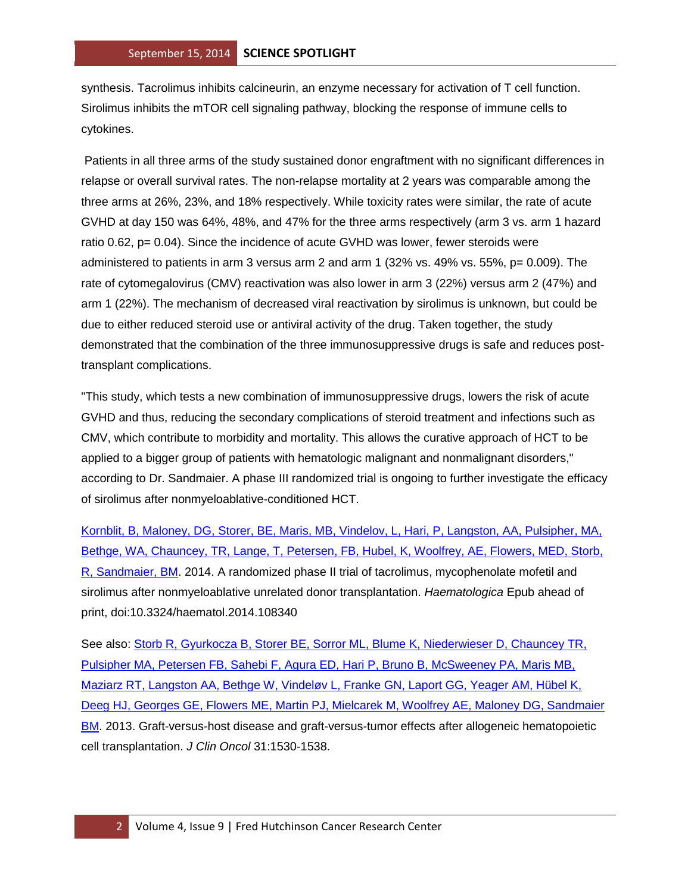synthesis. Tacrolimus inhibits calcineurin, an enzyme necessary for activation of T cell function. Sirolimus inhibits the mTOR cell signaling pathway, blocking the response of immune cells to cytokines.

Patients in all three arms of the study sustained donor engraftment with no significant differences in relapse or overall survival rates. The non-relapse mortality at 2 years was comparable among the three arms at 26%, 23%, and 18% respectively. While toxicity rates were similar, the rate of acute GVHD at day 150 was 64%, 48%, and 47% for the three arms respectively (arm 3 vs. arm 1 hazard ratio 0.62, p= 0.04). Since the incidence of acute GVHD was lower, fewer steroids were administered to patients in arm 3 versus arm 2 and arm 1 (32% vs. 49% vs. 55%, p= 0.009). The rate of cytomegalovirus (CMV) reactivation was also lower in arm 3 (22%) versus arm 2 (47%) and arm 1 (22%). The mechanism of decreased viral reactivation by sirolimus is unknown, but could be due to either reduced steroid use or antiviral activity of the drug. Taken together, the study demonstrated that the combination of the three immunosuppressive drugs is safe and reduces posttransplant complications.

"This study, which tests a new combination of immunosuppressive drugs, lowers the risk of acute GVHD and thus, reducing the secondary complications of steroid treatment and infections such as CMV, which contribute to morbidity and mortality. This allows the curative approach of HCT to be applied to a bigger group of patients with hematologic malignant and nonmalignant disorders," according to Dr. Sandmaier. A phase III randomized trial is ongoing to further investigate the efficacy of sirolimus after nonmyeloablative-conditioned HCT.

[Kornblit, B, Maloney, DG, Storer, BE, Maris, MB, Vindelov, L, Hari, P, Langston, AA, Pulsipher, MA,](http://www.ncbi.nlm.nih.gov/pubmed/25085357?otool=fhcrclib)  [Bethge, WA, Chauncey, TR, Lange, T, Petersen, FB, Hubel, K, Woolfrey, AE, Flowers, MED, Storb,](http://www.ncbi.nlm.nih.gov/pubmed/25085357?otool=fhcrclib)  [R, Sandmaier, BM.](http://www.ncbi.nlm.nih.gov/pubmed/25085357?otool=fhcrclib) 2014. A randomized phase II trial of tacrolimus, mycophenolate mofetil and sirolimus after nonmyeloablative unrelated donor transplantation. *Haematologica* Epub ahead of print, doi:10.3324/haematol.2014.108340

See also: [Storb R, Gyurkocza B, Storer BE, Sorror ML, Blume K, Niederwieser D, Chauncey TR,](http://www.ncbi.nlm.nih.gov/pubmed/23478054?otool=fhcrclib)  [Pulsipher MA, Petersen FB, Sahebi F, Agura ED, Hari P, Bruno B, McSweeney PA, Maris MB,](http://www.ncbi.nlm.nih.gov/pubmed/23478054?otool=fhcrclib)  Maziarz [RT, Langston AA, Bethge W, Vindeløv L, Franke GN, Laport GG, Yeager AM, Hübel K,](http://www.ncbi.nlm.nih.gov/pubmed/23478054?otool=fhcrclib)  [Deeg HJ, Georges GE, Flowers ME, Martin PJ, Mielcarek M, Woolfrey AE, Maloney DG, Sandmaier](http://www.ncbi.nlm.nih.gov/pubmed/23478054?otool=fhcrclib)  [BM.](http://www.ncbi.nlm.nih.gov/pubmed/23478054?otool=fhcrclib) 2013. Graft-versus-host disease and graft-versus-tumor effects after allogeneic hematopoietic cell transplantation. *J Clin Oncol* 31:1530-1538.